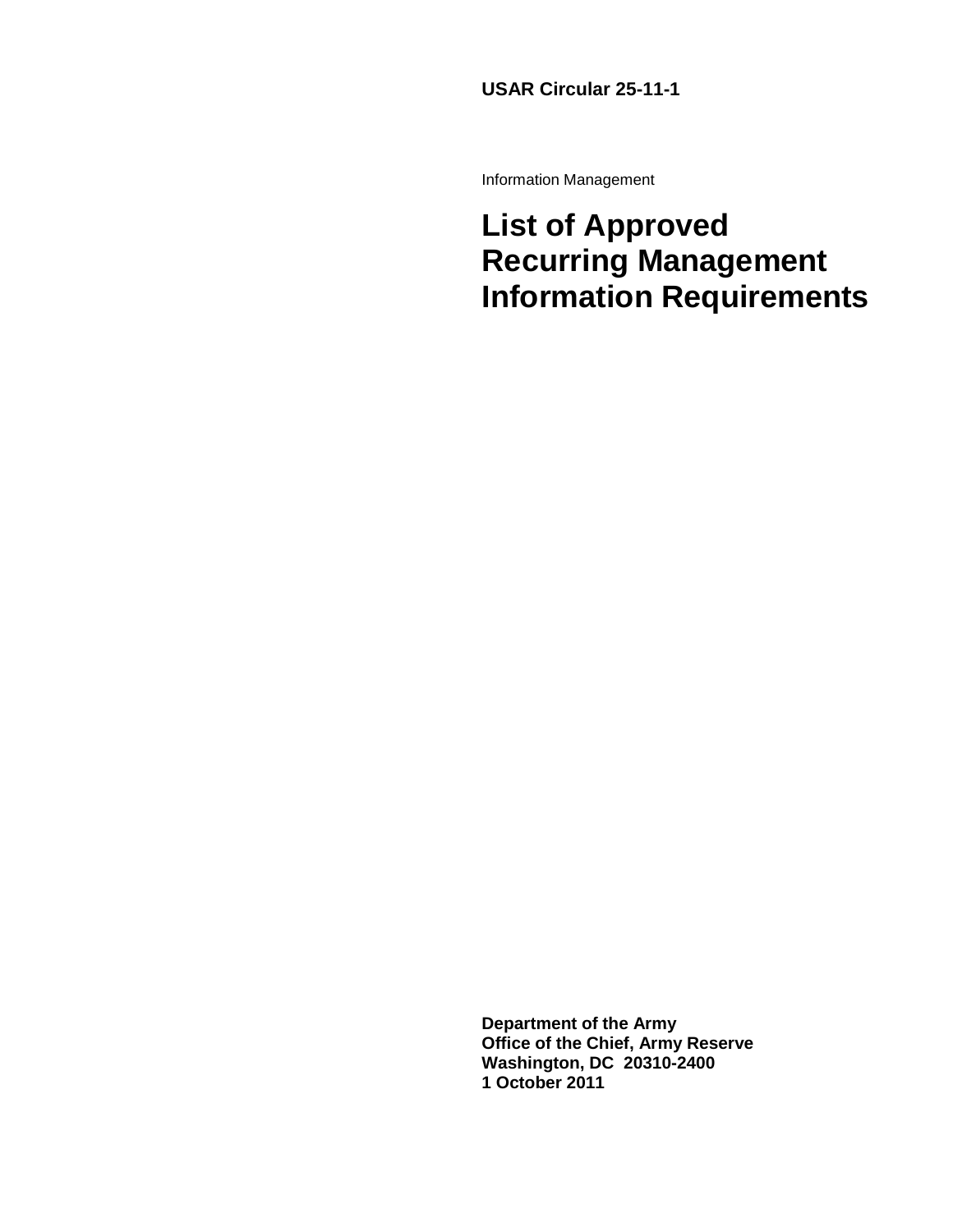#### **USAR Circular 25-11-1**

Information Management

## **List of Approved Recurring Management Information Requirements**

**Department of the Army Office of the Chief, Army Reserve Washington, DC 20310-2400 1 October 2011**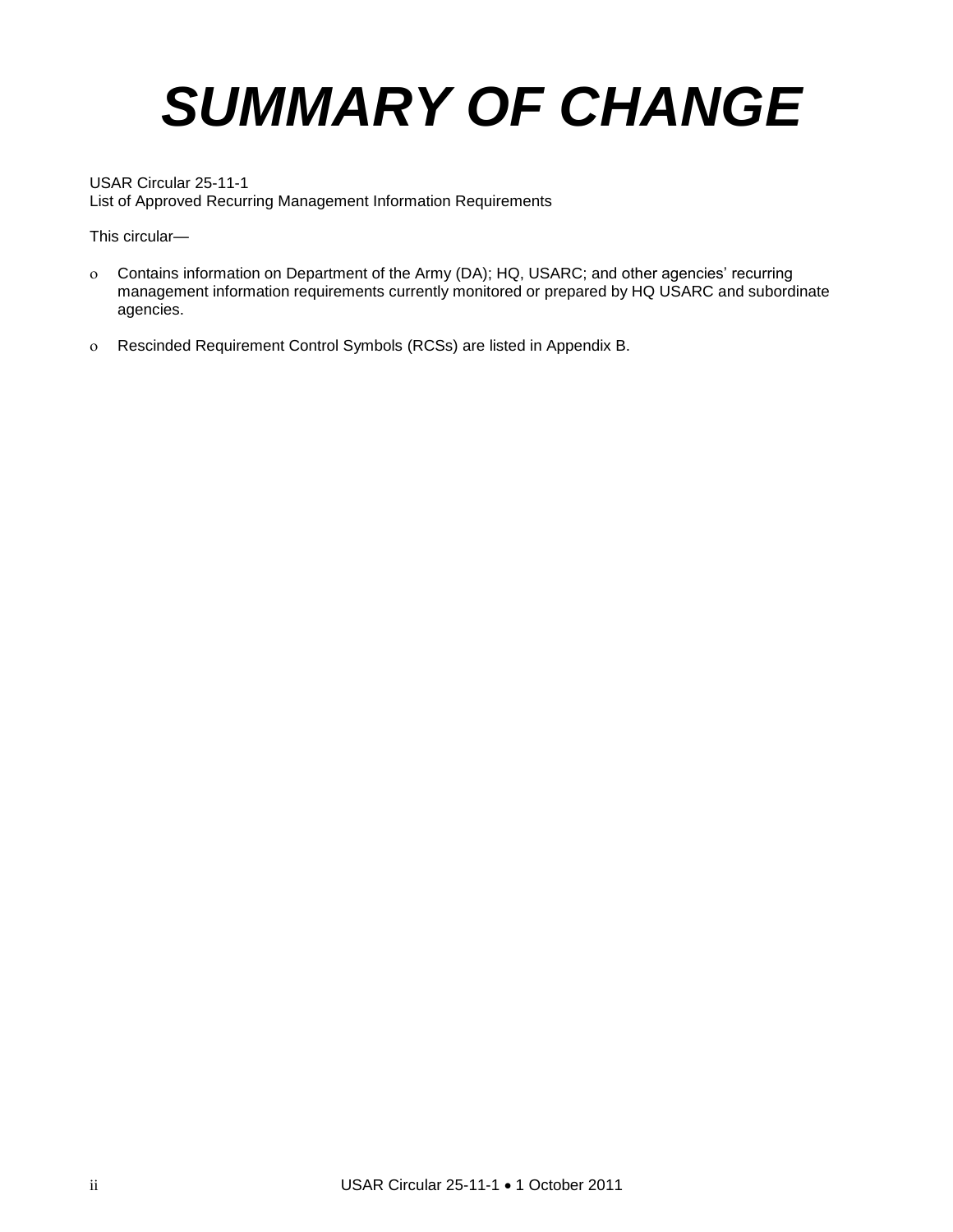# *SUMMARY OF CHANGE*

USAR Circular 25-11-1 List of Approved Recurring Management Information Requirements

This circular—

- Contains information on Department of the Army (DA); HQ, USARC; and other agencies' recurring management information requirements currently monitored or prepared by HQ USARC and subordinate agencies.
- Rescinded Requirement Control Symbols (RCSs) are listed in Appendix B.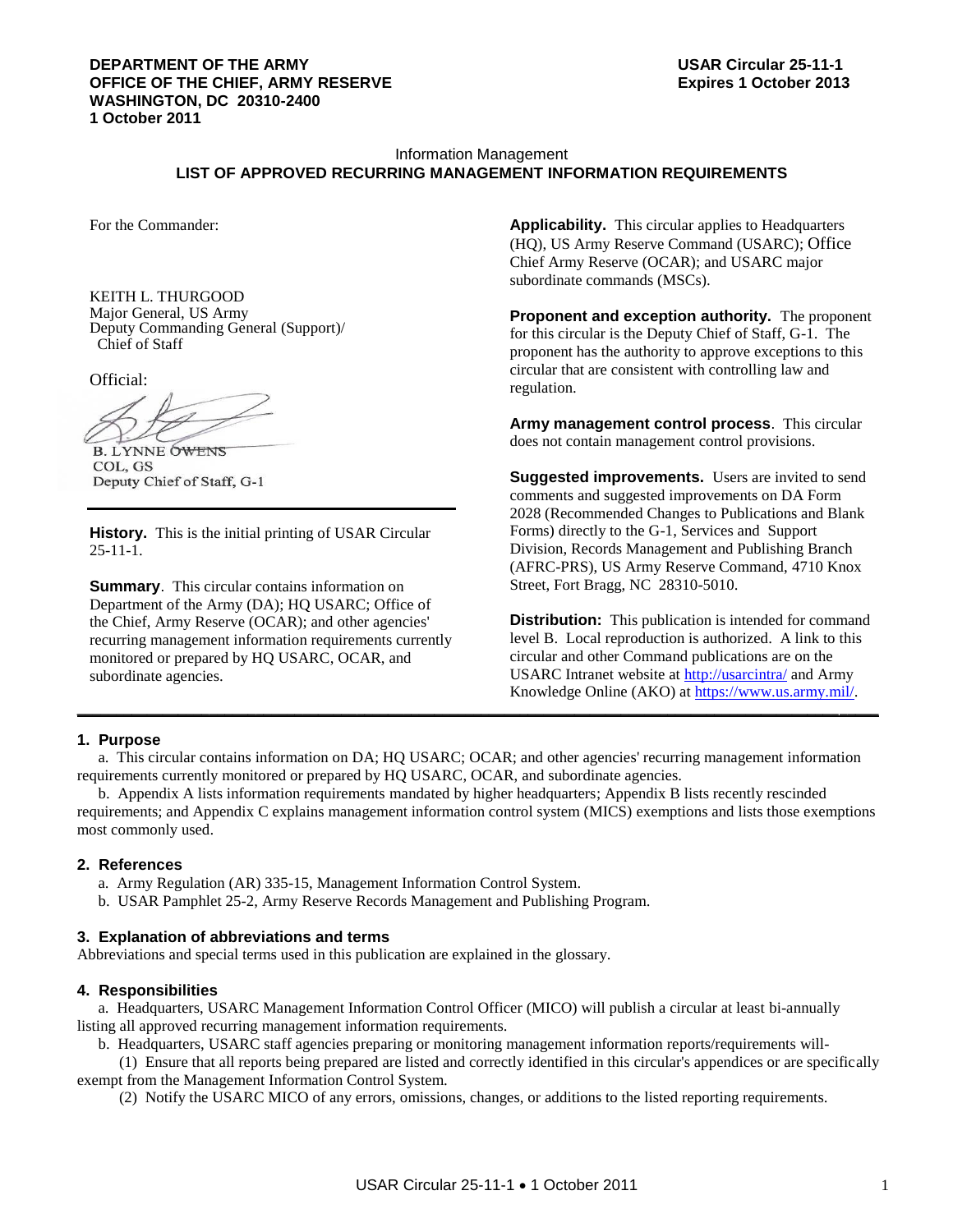#### **DEPARTMENT OF THE ARMY USAR Circular 25-11-1 OFFICE OF THE CHIEF, ARMY RESERVE Expires 1 October 2013 WASHINGTON, DC 20310-2400 1 October 2011**

#### Information Management **LIST OF APPROVED RECURRING MANAGEMENT INFORMATION REQUIREMENTS**

For the Commander:

KEITH L. THURGOOD Major General, US Army Deputy Commanding General (Support)/ Chief of Staff

Official:

**B. LYNNE OWENS** COL, GS Deputy Chief of Staff, G-1

**History.** This is the initial printing of USAR Circular 25-11-1.

**Summary.** This circular contains information on Department of the Army (DA); HQ USARC; Office of the Chief, Army Reserve (OCAR); and other agencies' recurring management information requirements currently monitored or prepared by HQ USARC, OCAR, and subordinate agencies.

**Applicability.** This circular applies to Headquarters (HQ), US Army Reserve Command (USARC); Office Chief Army Reserve (OCAR); and USARC major subordinate commands (MSCs).

**Proponent and exception authority.** The proponent for this circular is the Deputy Chief of Staff, G-1. The proponent has the authority to approve exceptions to this circular that are consistent with controlling law and regulation.

**Army management control process**. This circular does not contain management control provisions.

**Suggested improvements.** Users are invited to send comments and suggested improvements on DA Form 2028 (Recommended Changes to Publications and Blank Forms) directly to the G-1, Services and Support Division, Records Management and Publishing Branch (AFRC-PRS), US Army Reserve Command, 4710 Knox Street, Fort Bragg, NC 28310-5010.

**Distribution:** This publication is intended for command level B. Local reproduction is authorized. A link to this circular and other Command publications are on the USARC Intranet website at<http://usarcintra/> and Army Knowledge Online (AKO) at [https://www.us.army.mil/.](https://www.us.army.mil/) **\_\_\_\_\_\_\_\_\_\_\_\_\_\_\_\_\_\_\_\_\_\_\_\_\_\_\_\_\_\_\_\_\_\_\_\_\_\_\_\_\_\_\_\_\_\_\_\_\_\_\_\_\_\_\_\_\_\_\_\_\_\_\_\_\_\_\_\_\_\_\_\_\_\_\_\_\_\_\_\_\_\_\_\_\_\_\_\_\_\_\_\_\_\_\_\_\_\_\_\_\_\_\_**

#### **1. Purpose**

a. This circular contains information on DA; HQ USARC; OCAR; and other agencies' recurring management information requirements currently monitored or prepared by HQ USARC, OCAR, and subordinate agencies.

b. Appendix A lists information requirements mandated by higher headquarters; Appendix B lists recently rescinded requirements; and Appendix C explains management information control system (MICS) exemptions and lists those exemptions most commonly used.

#### **2. References**

- a. Army Regulation (AR) 335-15, Management Information Control System.
- b. USAR Pamphlet 25-2, Army Reserve Records Management and Publishing Program.

#### **3. Explanation of abbreviations and terms**

Abbreviations and special terms used in this publication are explained in the glossary.

#### **4. Responsibilities**

a. Headquarters, USARC Management Information Control Officer (MICO) will publish a circular at least bi-annually listing all approved recurring management information requirements.

b. Headquarters, USARC staff agencies preparing or monitoring management information reports/requirements will-

(1) Ensure that all reports being prepared are listed and correctly identified in this circular's appendices or are specifically exempt from the Management Information Control System.

(2) Notify the USARC MICO of any errors, omissions, changes, or additions to the listed reporting requirements.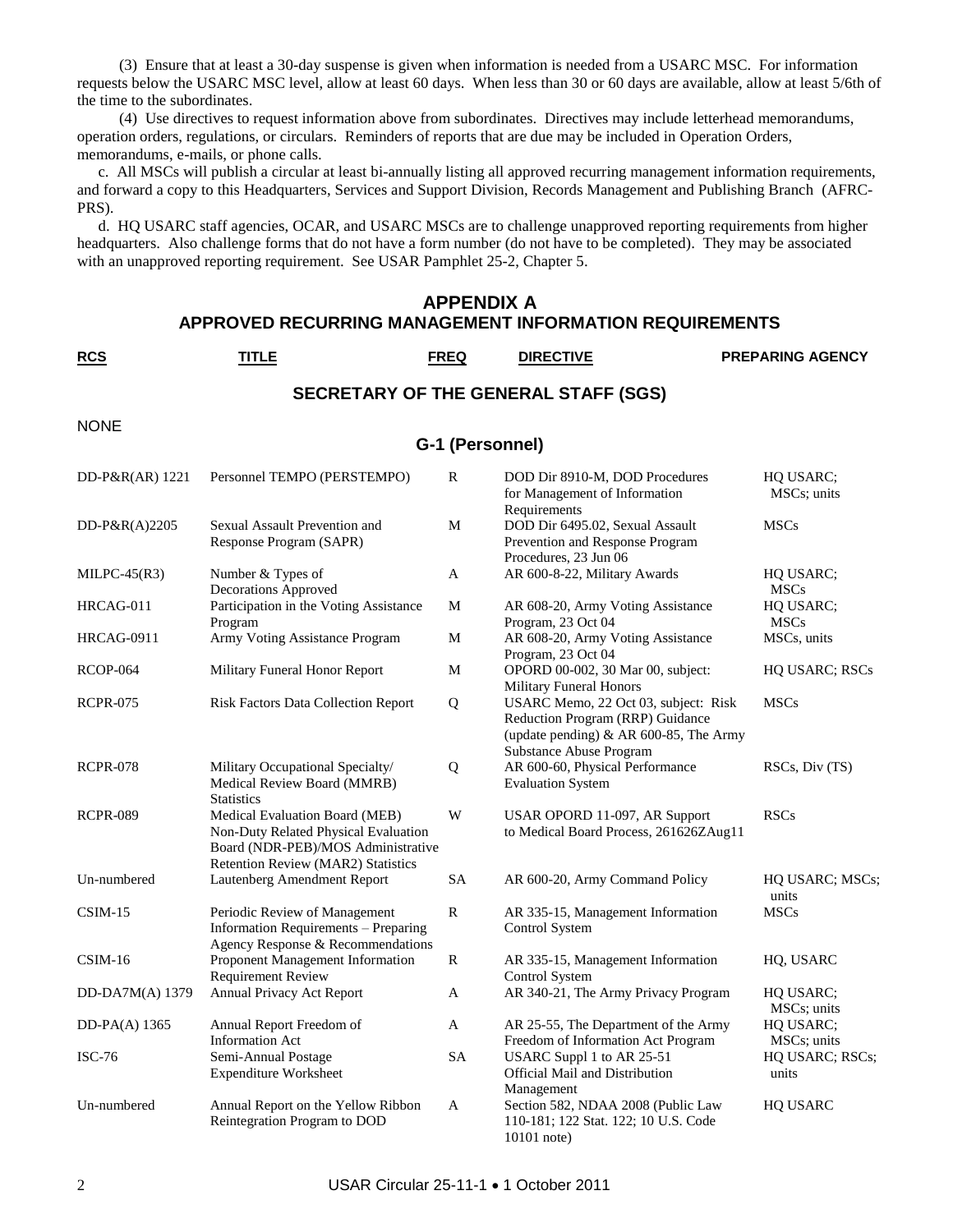(3) Ensure that at least a 30-day suspense is given when information is needed from a USARC MSC. For information requests below the USARC MSC level, allow at least 60 days. When less than 30 or 60 days are available, allow at least 5/6th of the time to the subordinates.

(4) Use directives to request information above from subordinates. Directives may include letterhead memorandums, operation orders, regulations, or circulars. Reminders of reports that are due may be included in Operation Orders, memorandums, e-mails, or phone calls.

c. All MSCs will publish a circular at least bi-annually listing all approved recurring management information requirements, and forward a copy to this Headquarters, Services and Support Division, Records Management and Publishing Branch (AFRC-PRS).

d. HQ USARC staff agencies, OCAR, and USARC MSCs are to challenge unapproved reporting requirements from higher headquarters. Also challenge forms that do not have a form number (do not have to be completed). They may be associated with an unapproved reporting requirement. See USAR Pamphlet 25-2, Chapter 5.

#### **APPENDIX A APPROVED RECURRING MANAGEMENT INFORMATION REQUIREMENTS**

**RCS TITLE FREQ DIRECTIVE PREPARING AGENCY**

#### **SECRETARY OF THE GENERAL STAFF (SGS)**

NONE

#### **G-1 (Personnel)**

| DD-P&R(AR) 1221   | Personnel TEMPO (PERSTEMPO)                                                                                                                        | R            | DOD Dir 8910-M, DOD Procedures<br>for Management of Information<br>Requirements                                                                      | HQ USARC;<br>MSCs; units |
|-------------------|----------------------------------------------------------------------------------------------------------------------------------------------------|--------------|------------------------------------------------------------------------------------------------------------------------------------------------------|--------------------------|
| DD-P&R $(A)$ 2205 | Sexual Assault Prevention and<br>Response Program (SAPR)                                                                                           | M            | DOD Dir 6495.02, Sexual Assault<br>Prevention and Response Program<br>Procedures, 23 Jun 06                                                          | <b>MSCs</b>              |
| $MILPC-45(R3)$    | Number & Types of<br>Decorations Approved                                                                                                          | $\mathbf{A}$ | AR 600-8-22, Military Awards                                                                                                                         | HQ USARC;<br><b>MSCs</b> |
| HRCAG-011         | Participation in the Voting Assistance<br>Program                                                                                                  | M            | AR 608-20, Army Voting Assistance<br>Program, 23 Oct 04                                                                                              | HQ USARC;<br><b>MSCs</b> |
| HRCAG-0911        | Army Voting Assistance Program                                                                                                                     | M            | AR 608-20, Army Voting Assistance<br>Program, 23 Oct 04                                                                                              | MSCs, units              |
| <b>RCOP-064</b>   | Military Funeral Honor Report                                                                                                                      | M            | OPORD 00-002, 30 Mar 00, subject:<br><b>Military Funeral Honors</b>                                                                                  | HQ USARC; RSCs           |
| <b>RCPR-075</b>   | <b>Risk Factors Data Collection Report</b>                                                                                                         | Q            | USARC Memo, 22 Oct 03, subject: Risk<br>Reduction Program (RRP) Guidance<br>(update pending) & AR 600-85, The Army<br><b>Substance Abuse Program</b> | <b>MSCs</b>              |
| <b>RCPR-078</b>   | Military Occupational Specialty/<br>Medical Review Board (MMRB)<br><b>Statistics</b>                                                               | Q            | AR 600-60, Physical Performance<br><b>Evaluation System</b>                                                                                          | RSCs, Div (TS)           |
| <b>RCPR-089</b>   | Medical Evaluation Board (MEB)<br>Non-Duty Related Physical Evaluation<br>Board (NDR-PEB)/MOS Administrative<br>Retention Review (MAR2) Statistics | W            | USAR OPORD 11-097, AR Support<br>to Medical Board Process, 261626ZAug11                                                                              | <b>RSCs</b>              |
| Un-numbered       | Lautenberg Amendment Report                                                                                                                        | SA           | AR 600-20, Army Command Policy                                                                                                                       | HQ USARC; MSCs;<br>units |
| $CSIM-15$         | Periodic Review of Management<br>Information Requirements - Preparing<br>Agency Response & Recommendations                                         | $\mathbb{R}$ | AR 335-15, Management Information<br>Control System                                                                                                  | <b>MSCs</b>              |
| $CSIM-16$         | Proponent Management Information<br><b>Requirement Review</b>                                                                                      | R            | AR 335-15, Management Information<br>Control System                                                                                                  | HQ, USARC                |
| DD-DA7M(A) 1379   | Annual Privacy Act Report                                                                                                                          | A            | AR 340-21, The Army Privacy Program                                                                                                                  | HQ USARC;<br>MSCs; units |
| DD-PA $(A)$ 1365  | Annual Report Freedom of<br><b>Information Act</b>                                                                                                 | A            | AR 25-55, The Department of the Army<br>Freedom of Information Act Program                                                                           | HQ USARC;<br>MSCs; units |
| <b>ISC-76</b>     | Semi-Annual Postage<br><b>Expenditure Worksheet</b>                                                                                                | <b>SA</b>    | USARC Suppl 1 to AR 25-51<br>Official Mail and Distribution<br>Management                                                                            | HQ USARC; RSCs;<br>units |
| Un-numbered       | Annual Report on the Yellow Ribbon<br>Reintegration Program to DOD                                                                                 | A            | Section 582, NDAA 2008 (Public Law<br>110-181; 122 Stat. 122; 10 U.S. Code<br>$10101$ note)                                                          | HQ USARC                 |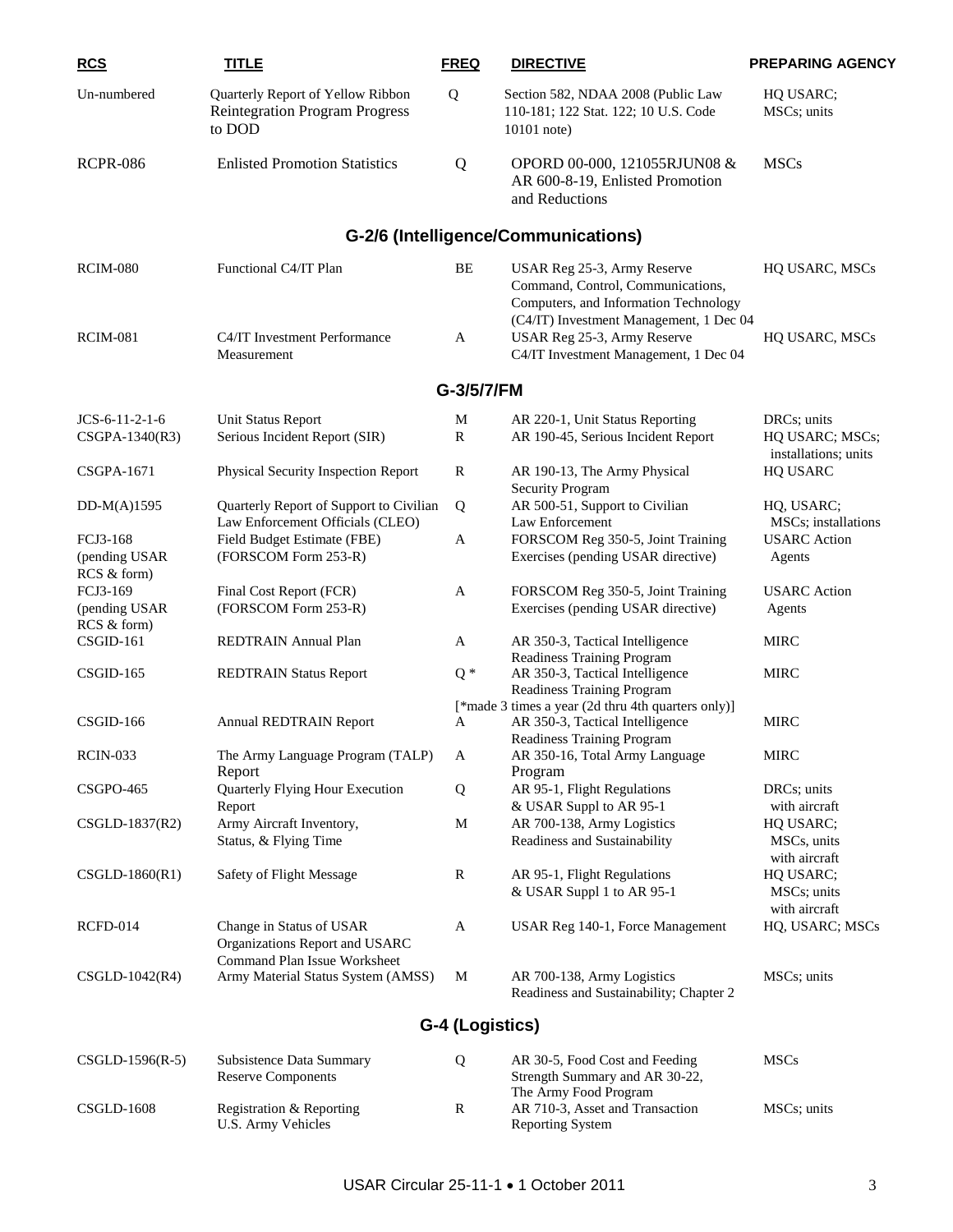| <b>RCS</b>                               | <b>TITLE</b>                                                                         | <b>FREQ</b>      | <b>DIRECTIVE</b>                                                                                                           | <b>PREPARING AGENCY</b>                                |
|------------------------------------------|--------------------------------------------------------------------------------------|------------------|----------------------------------------------------------------------------------------------------------------------------|--------------------------------------------------------|
| Un-numbered                              | Quarterly Report of Yellow Ribbon<br><b>Reintegration Program Progress</b><br>to DOD | Q                | Section 582, NDAA 2008 (Public Law<br>110-181; 122 Stat. 122; 10 U.S. Code<br>$10101$ note)                                | HQ USARC;<br>MSCs; units                               |
| <b>RCPR-086</b>                          | <b>Enlisted Promotion Statistics</b>                                                 | Q                | OPORD 00-000, 121055RJUN08 &<br>AR 600-8-19, Enlisted Promotion<br>and Reductions                                          | <b>MSCs</b>                                            |
|                                          |                                                                                      |                  | G-2/6 (Intelligence/Communications)                                                                                        |                                                        |
| <b>RCIM-080</b>                          | Functional C4/IT Plan                                                                | BE               | USAR Reg 25-3, Army Reserve<br>Command, Control, Communications,<br>Computers, and Information Technology                  | HQ USARC, MSCs                                         |
| <b>RCIM-081</b>                          | C4/IT Investment Performance<br>Measurement                                          | A                | (C4/IT) Investment Management, 1 Dec 04<br>USAR Reg 25-3, Army Reserve<br>C4/IT Investment Management, 1 Dec 04            | HQ USARC, MSCs                                         |
|                                          |                                                                                      | G-3/5/7/FM       |                                                                                                                            |                                                        |
|                                          |                                                                                      |                  |                                                                                                                            |                                                        |
| $JCS-6-11-2-1-6$<br>CSGPA-1340(R3)       | Unit Status Report<br>Serious Incident Report (SIR)                                  | M<br>$\mathbf R$ | AR 220-1, Unit Status Reporting<br>AR 190-45, Serious Incident Report                                                      | DRCs; units<br>HQ USARC; MSCs;<br>installations; units |
| CSGPA-1671                               | Physical Security Inspection Report                                                  | R                | AR 190-13, The Army Physical<br><b>Security Program</b>                                                                    | HQ USARC                                               |
| $DD-M(A)1595$                            | Quarterly Report of Support to Civilian<br>Law Enforcement Officials (CLEO)          | Q                | AR 500-51, Support to Civilian<br>Law Enforcement                                                                          | HQ, USARC;<br>MSCs; installations                      |
| FCJ3-168<br>(pending USAR<br>RCS & form) | Field Budget Estimate (FBE)<br>(FORSCOM Form 253-R)                                  | A                | FORSCOM Reg 350-5, Joint Training<br>Exercises (pending USAR directive)                                                    | <b>USARC</b> Action<br>Agents                          |
| FCJ3-169<br>(pending USAR<br>RCS & form) | Final Cost Report (FCR)<br>(FORSCOM Form 253-R)                                      | A                | FORSCOM Reg 350-5, Joint Training<br>Exercises (pending USAR directive)                                                    | <b>USARC</b> Action<br>Agents                          |
| CSGID-161                                | REDTRAIN Annual Plan                                                                 | $\mathbf{A}$     | AR 350-3, Tactical Intelligence<br><b>Readiness Training Program</b>                                                       | <b>MIRC</b>                                            |
| CSGID-165                                | <b>REDTRAIN Status Report</b>                                                        | $Q*$             | AR 350-3, Tactical Intelligence<br>Readiness Training Program                                                              | <b>MIRC</b>                                            |
| CSGID-166                                | <b>Annual REDTRAIN Report</b>                                                        | A                | [*made 3 times a year (2d thru 4th quarters only)]<br>AR 350-3, Tactical Intelligence<br><b>Readiness Training Program</b> | <b>MIRC</b>                                            |
| <b>RCIN-033</b>                          | The Army Language Program (TALP)<br>Report                                           | A                | AR 350-16, Total Army Language<br>Program                                                                                  | <b>MIRC</b>                                            |
| <b>CSGPO-465</b>                         | Quarterly Flying Hour Execution<br>Report                                            | Q                | AR 95-1, Flight Regulations<br>& USAR Suppl to AR 95-1                                                                     | DRCs; units<br>with aircraft                           |
| CSGLD-1837(R2)                           | Army Aircraft Inventory,<br>Status, & Flying Time                                    | M                | AR 700-138, Army Logistics<br>Readiness and Sustainability                                                                 | HQ USARC;<br>MSCs, units<br>with aircraft              |
| $CSGLD-1860(R1)$                         | Safety of Flight Message                                                             | R                | AR 95-1, Flight Regulations<br>& USAR Suppl 1 to AR 95-1                                                                   | HQ USARC;<br>MSCs; units<br>with aircraft              |
| RCFD-014                                 | Change in Status of USAR<br>Organizations Report and USARC                           | A                | USAR Reg 140-1, Force Management                                                                                           | HQ, USARC; MSCs                                        |
| $CSGLD-1042(R4)$                         | Command Plan Issue Worksheet<br>Army Material Status System (AMSS)                   | M                | AR 700-138, Army Logistics<br>Readiness and Sustainability; Chapter 2                                                      | MSCs; units                                            |
|                                          |                                                                                      | G-4 (Logistics)  |                                                                                                                            |                                                        |
| $CSGLD-1596(R-5)$                        | Subsistence Data Summary<br><b>Reserve Components</b>                                | Q                | AR 30-5, Food Cost and Feeding<br>Strength Summary and AR 30-22,                                                           | <b>MSCs</b>                                            |
| <b>CSGLD-1608</b>                        | Registration & Reporting<br><b>U.S. Army Vehicles</b>                                | R                | The Army Food Program<br>AR 710-3, Asset and Transaction<br><b>Reporting System</b>                                        | MSCs; units                                            |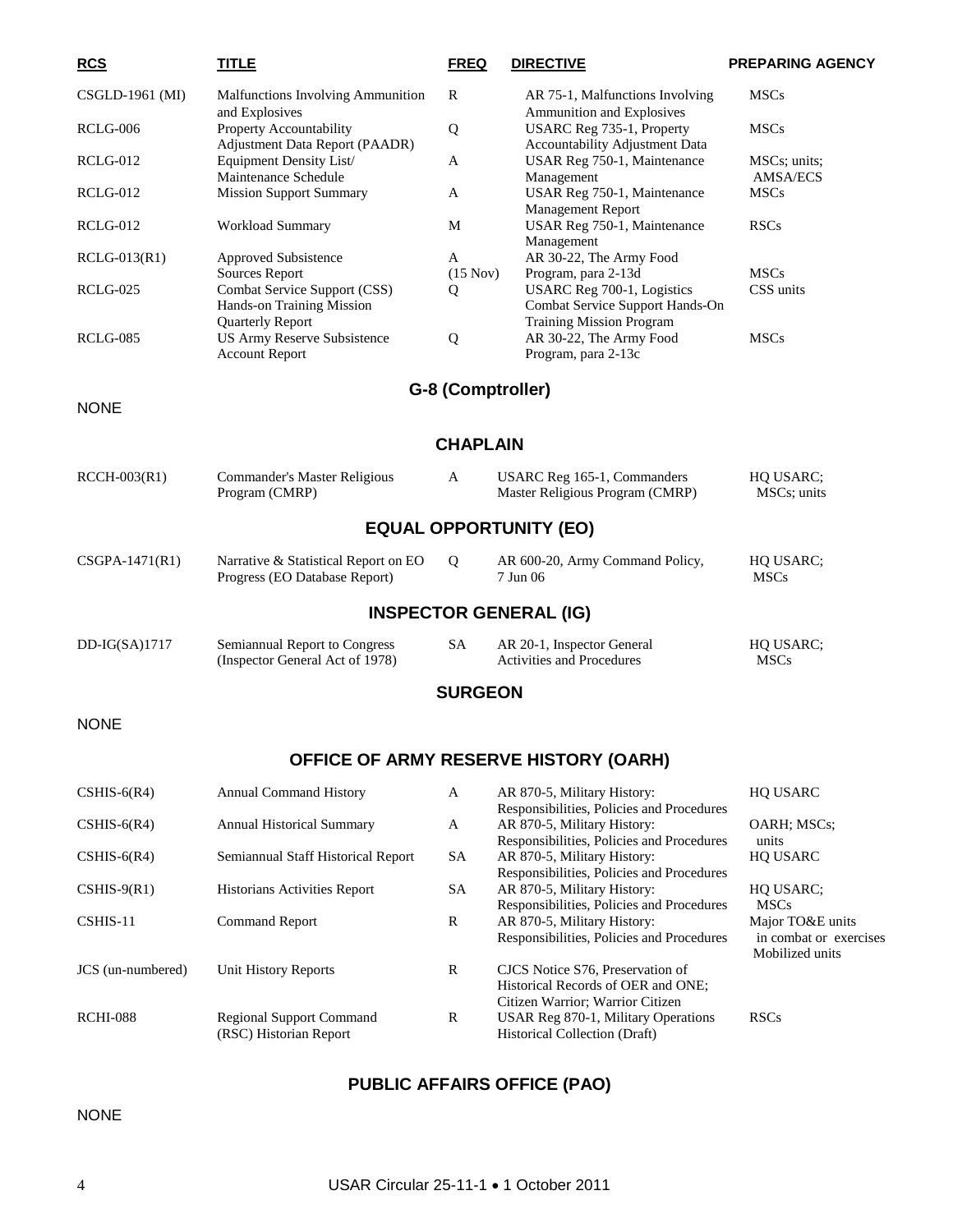| <b>RCS</b>        | <b>TITLE</b>                                                                           | <b>FREQ</b>       | <b>DIRECTIVE</b>                                                                                         | <b>PREPARING AGENCY</b>                                       |  |  |
|-------------------|----------------------------------------------------------------------------------------|-------------------|----------------------------------------------------------------------------------------------------------|---------------------------------------------------------------|--|--|
| CSGLD-1961 (MI)   | Malfunctions Involving Ammunition                                                      | R                 | AR 75-1, Malfunctions Involving                                                                          | <b>MSCs</b>                                                   |  |  |
| <b>RCLG-006</b>   | and Explosives<br>Property Accountability<br>Adjustment Data Report (PAADR)            | Q                 | Ammunition and Explosives<br>USARC Reg 735-1, Property<br>Accountability Adjustment Data                 | <b>MSCs</b>                                                   |  |  |
| <b>RCLG-012</b>   | Equipment Density List/<br>Maintenance Schedule                                        | A                 | USAR Reg 750-1, Maintenance<br>Management                                                                | MSCs; units;<br><b>AMSA/ECS</b>                               |  |  |
| <b>RCLG-012</b>   | <b>Mission Support Summary</b>                                                         | A                 | USAR Reg 750-1, Maintenance<br>Management Report                                                         | <b>MSCs</b>                                                   |  |  |
| <b>RCLG-012</b>   | Workload Summary                                                                       | M                 | USAR Reg 750-1, Maintenance<br>Management                                                                | <b>RSCs</b>                                                   |  |  |
| $RCLG-013(R1)$    | Approved Subsistence<br>Sources Report                                                 | A<br>(15 Nov)     | AR 30-22, The Army Food<br>Program, para 2-13d                                                           | <b>MSCs</b>                                                   |  |  |
| RCLG-025          | Combat Service Support (CSS)<br>Hands-on Training Mission                              | Q                 | USARC Reg 700-1, Logistics<br>Combat Service Support Hands-On                                            | CSS units                                                     |  |  |
| <b>RCLG-085</b>   | <b>Quarterly Report</b><br><b>US Army Reserve Subsistence</b><br><b>Account Report</b> | Q                 | <b>Training Mission Program</b><br>AR 30-22, The Army Food<br>Program, para 2-13c                        | <b>MSCs</b>                                                   |  |  |
|                   |                                                                                        | G-8 (Comptroller) |                                                                                                          |                                                               |  |  |
| <b>NONE</b>       |                                                                                        |                   |                                                                                                          |                                                               |  |  |
|                   |                                                                                        | <b>CHAPLAIN</b>   |                                                                                                          |                                                               |  |  |
| $RCCH-003(R1)$    | Commander's Master Religious<br>Program (CMRP)                                         | A                 | USARC Reg 165-1, Commanders<br>Master Religious Program (CMRP)                                           | HQ USARC;<br>MSCs; units                                      |  |  |
|                   |                                                                                        |                   | <b>EQUAL OPPORTUNITY (EO)</b>                                                                            |                                                               |  |  |
| $CSGPA-1471(R1)$  | Narrative & Statistical Report on EO<br>Progress (EO Database Report)                  | Q                 | AR 600-20, Army Command Policy,<br>7 Jun 06                                                              | HQ USARC;<br><b>MSCs</b>                                      |  |  |
|                   |                                                                                        |                   | <b>INSPECTOR GENERAL (IG)</b>                                                                            |                                                               |  |  |
| $DD-IG(SA)1717$   | Semiannual Report to Congress<br>(Inspector General Act of 1978)                       | <b>SA</b>         | AR 20-1, Inspector General<br><b>Activities and Procedures</b>                                           | HQ USARC;<br><b>MSCs</b>                                      |  |  |
| <b>SURGEON</b>    |                                                                                        |                   |                                                                                                          |                                                               |  |  |
| <b>NONE</b>       |                                                                                        |                   |                                                                                                          |                                                               |  |  |
|                   |                                                                                        |                   | OFFICE OF ARMY RESERVE HISTORY (OARH)                                                                    |                                                               |  |  |
| $CSHIS-6(R4)$     | <b>Annual Command History</b>                                                          | A                 | AR 870-5, Military History:<br>Responsibilities, Policies and Procedures                                 | <b>HQ USARC</b>                                               |  |  |
| $CSHIS-6(R4)$     | <b>Annual Historical Summary</b>                                                       | A                 | AR 870-5, Military History:<br>Responsibilities, Policies and Procedures                                 | OARH; MSCs;<br>units                                          |  |  |
| $CSHIS-6(R4)$     | Semiannual Staff Historical Report                                                     | SA                | AR 870-5, Military History:<br>Responsibilities, Policies and Procedures                                 | <b>HQ USARC</b>                                               |  |  |
| $CSHIS-9(R1)$     | <b>Historians Activities Report</b>                                                    | SA                | AR 870-5, Military History:<br>Responsibilities, Policies and Procedures                                 | HQ USARC;<br><b>MSCs</b>                                      |  |  |
| CSHIS-11          | <b>Command Report</b>                                                                  | R                 | AR 870-5, Military History:<br>Responsibilities, Policies and Procedures                                 | Major TO&E units<br>in combat or exercises<br>Mobilized units |  |  |
| JCS (un-numbered) | <b>Unit History Reports</b>                                                            | R                 | CJCS Notice S76, Preservation of<br>Historical Records of OER and ONE;                                   |                                                               |  |  |
| <b>RCHI-088</b>   | <b>Regional Support Command</b><br>(RSC) Historian Report                              | R                 | Citizen Warrior; Warrior Citizen<br>USAR Reg 870-1, Military Operations<br>Historical Collection (Draft) | <b>RSCs</b>                                                   |  |  |

### **PUBLIC AFFAIRS OFFICE (PAO)**

NONE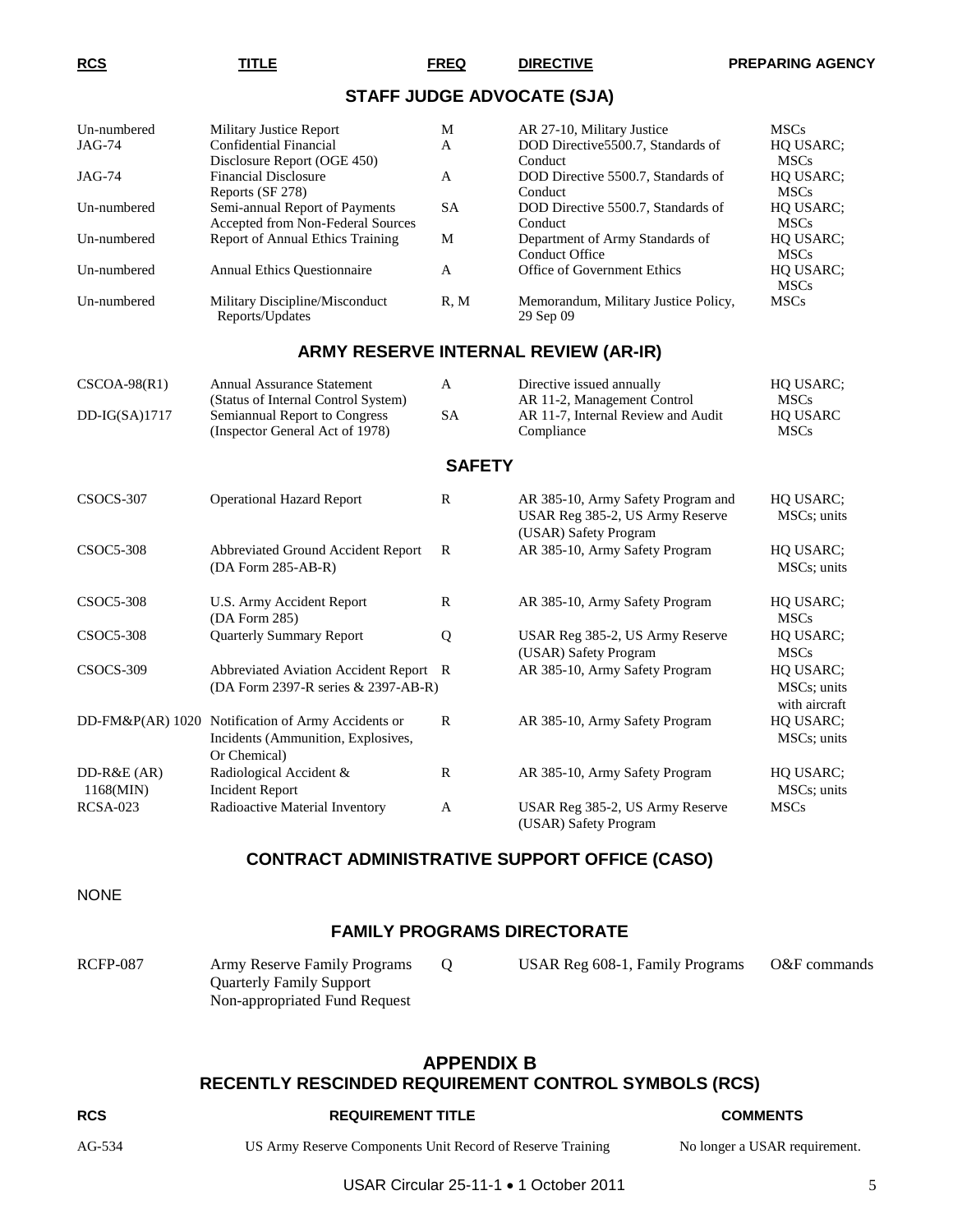#### **STAFF JUDGE ADVOCATE (SJA)**

| Un-numbered<br>$JAG-74$   | <b>Military Justice Report</b><br><b>Confidential Financial</b>                                          | M<br>A        | AR 27-10, Military Justice<br>DOD Directive5500.7, Standards of                                | <b>MSCs</b><br>HQ USARC;                  |
|---------------------------|----------------------------------------------------------------------------------------------------------|---------------|------------------------------------------------------------------------------------------------|-------------------------------------------|
| JAG-74                    | Disclosure Report (OGE 450)<br><b>Financial Disclosure</b><br>Reports (SF 278)                           | A             | Conduct<br>DOD Directive 5500.7, Standards of<br>Conduct                                       | <b>MSCs</b><br>HQ USARC;<br><b>MSCs</b>   |
| Un-numbered               | Semi-annual Report of Payments<br>Accepted from Non-Federal Sources                                      | <b>SA</b>     | DOD Directive 5500.7, Standards of<br>Conduct                                                  | HQ USARC;<br><b>MSCs</b>                  |
| Un-numbered               | <b>Report of Annual Ethics Training</b>                                                                  | M             | Department of Army Standards of<br>Conduct Office                                              | HQ USARC;<br><b>MSCs</b>                  |
| Un-numbered               | <b>Annual Ethics Questionnaire</b>                                                                       | A             | Office of Government Ethics                                                                    | HQ USARC;<br><b>MSCs</b>                  |
| Un-numbered               | Military Discipline/Misconduct<br>Reports/Updates                                                        | R, M          | Memorandum, Military Justice Policy,<br>29 Sep 09                                              | <b>MSCs</b>                               |
|                           |                                                                                                          |               | ARMY RESERVE INTERNAL REVIEW (AR-IR)                                                           |                                           |
| $CSCOA-98(R1)$            | <b>Annual Assurance Statement</b><br>(Status of Internal Control System)                                 | A             | Directive issued annually<br>AR 11-2, Management Control                                       | HQ USARC;<br><b>MSCs</b>                  |
| $DD-IG(SA)1717$           | Semiannual Report to Congress<br>(Inspector General Act of 1978)                                         | <b>SA</b>     | AR 11-7, Internal Review and Audit<br>Compliance                                               | HQ USARC<br><b>MSCs</b>                   |
|                           |                                                                                                          | <b>SAFETY</b> |                                                                                                |                                           |
| CSOCS-307                 | <b>Operational Hazard Report</b>                                                                         | R             | AR 385-10, Army Safety Program and<br>USAR Reg 385-2, US Army Reserve<br>(USAR) Safety Program | HQ USARC;<br>MSCs; units                  |
| CSOC5-308                 | Abbreviated Ground Accident Report<br>(DA Form 285-AB-R)                                                 | R             | AR 385-10, Army Safety Program                                                                 | HQ USARC;<br>MSCs; units                  |
| <b>CSOC5-308</b>          | U.S. Army Accident Report<br>(DA Form 285)                                                               | R             | AR 385-10, Army Safety Program                                                                 | HQ USARC;<br><b>MSCs</b>                  |
| <b>CSOC5-308</b>          | <b>Quarterly Summary Report</b>                                                                          | Q             | USAR Reg 385-2, US Army Reserve<br>(USAR) Safety Program                                       | HQ USARC;<br><b>MSCs</b>                  |
| CSOCS-309                 | Abbreviated Aviation Accident Report<br>(DA Form 2397-R series & 2397-AB-R)                              | R             | AR 385-10, Army Safety Program                                                                 | HQ USARC;<br>MSCs; units<br>with aircraft |
|                           | DD-FM&P(AR) 1020 Notification of Army Accidents or<br>Incidents (Ammunition, Explosives,<br>Or Chemical) | R             | AR 385-10, Army Safety Program                                                                 | HQ USARC;<br>MSCs; units                  |
| $DD-R&E(AR)$<br>1168(MIN) | Radiological Accident &<br><b>Incident Report</b>                                                        | $\mathbb{R}$  | AR 385-10, Army Safety Program                                                                 | HQ USARC;<br>MSCs; units                  |
| <b>RCSA-023</b>           | Radioactive Material Inventory                                                                           | A             | USAR Reg 385-2, US Army Reserve<br>(USAR) Safety Program                                       | <b>MSCs</b>                               |

#### **CONTRACT ADMINISTRATIVE SUPPORT OFFICE (CASO)**

NONE

#### **FAMILY PROGRAMS DIRECTORATE**

| <b>RCFP-087</b> | Army Reserve Family Programs  | USAR Reg 608-1, Family Programs | O&F commands |
|-----------------|-------------------------------|---------------------------------|--------------|
|                 | Quarterly Family Support      |                                 |              |
|                 | Non-appropriated Fund Request |                                 |              |

#### **APPENDIX B RECENTLY RESCINDED REQUIREMENT CONTROL SYMBOLS (RCS)**

#### **RCS REQUIREMENT TITLE COMMENTS**

AG-534 US Army Reserve Components Unit Record of Reserve Training No longer a USAR requirement.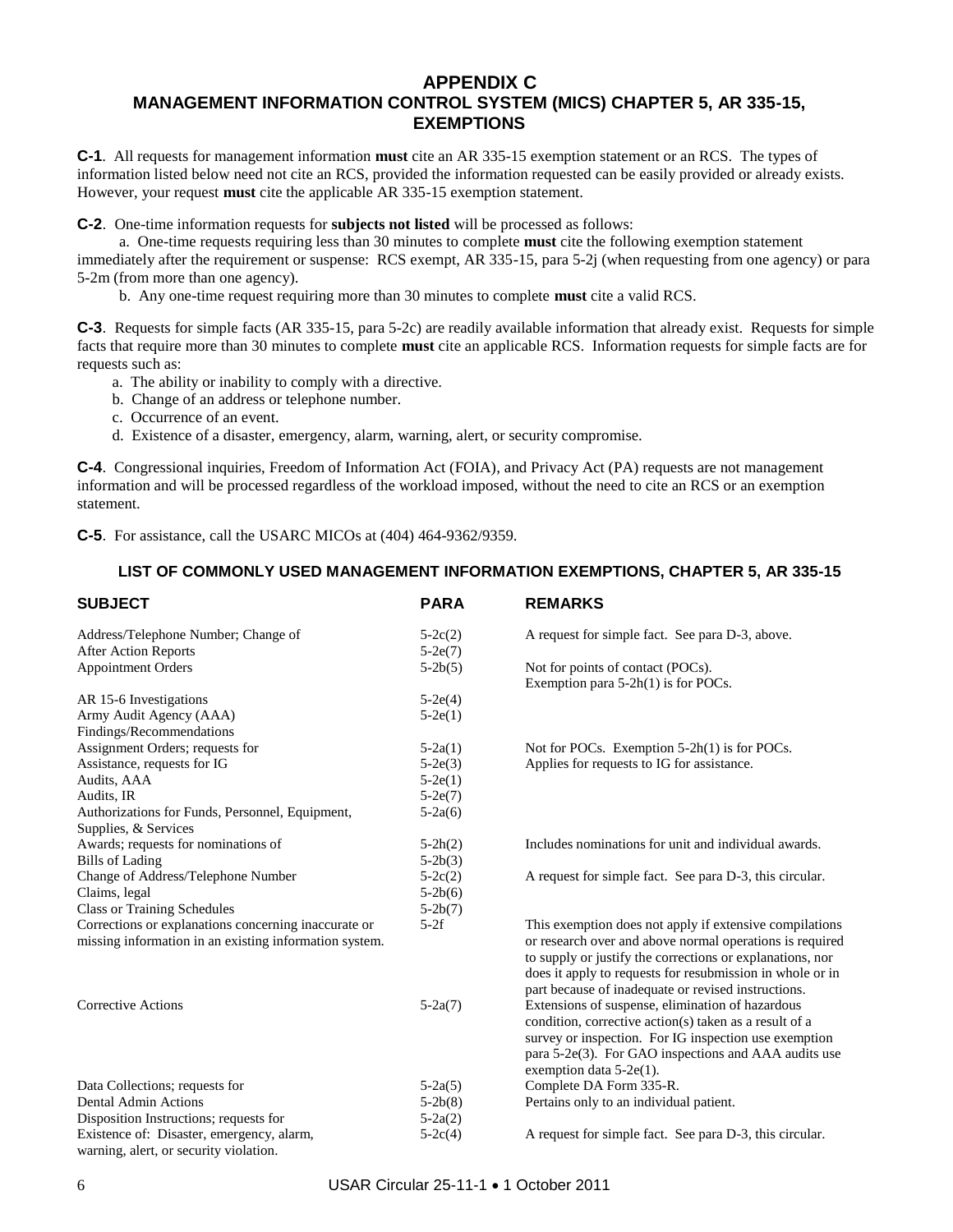#### **APPENDIX C MANAGEMENT INFORMATION CONTROL SYSTEM (MICS) CHAPTER 5, AR 335-15, EXEMPTIONS**

**C-1**. All requests for management information **must** cite an AR 335-15 exemption statement or an RCS. The types of information listed below need not cite an RCS, provided the information requested can be easily provided or already exists. However, your request **must** cite the applicable AR 335-15 exemption statement.

**C-2**. One-time information requests for **subjects not listed** will be processed as follows:

a. One-time requests requiring less than 30 minutes to complete **must** cite the following exemption statement immediately after the requirement or suspense: RCS exempt, AR 335-15, para 5-2j (when requesting from one agency) or para 5-2m (from more than one agency).

b. Any one-time request requiring more than 30 minutes to complete **must** cite a valid RCS.

**C-3**. Requests for simple facts (AR 335-15, para 5-2c) are readily available information that already exist. Requests for simple facts that require more than 30 minutes to complete **must** cite an applicable RCS. Information requests for simple facts are for requests such as:

- a. The ability or inability to comply with a directive.
- b. Change of an address or telephone number.
- c. Occurrence of an event.
- d. Existence of a disaster, emergency, alarm, warning, alert, or security compromise.

**C-4**. Congressional inquiries, Freedom of Information Act (FOIA), and Privacy Act (PA) requests are not management information and will be processed regardless of the workload imposed, without the need to cite an RCS or an exemption statement.

**C-5**. For assistance, call the USARC MICOs at (404) 464-9362/9359.

#### **LIST OF COMMONLY USED MANAGEMENT INFORMATION EXEMPTIONS, CHAPTER 5, AR 335-15**

| <b>SUBJECT</b>                                         | <b>PARA</b> | <b>REMARKS</b>                                                             |
|--------------------------------------------------------|-------------|----------------------------------------------------------------------------|
| Address/Telephone Number; Change of                    | $5-2c(2)$   | A request for simple fact. See para D-3, above.                            |
| <b>After Action Reports</b>                            | $5-2e(7)$   |                                                                            |
| <b>Appointment Orders</b>                              | $5-2b(5)$   | Not for points of contact (POCs).<br>Exemption para $5-2h(1)$ is for POCs. |
| AR 15-6 Investigations                                 | $5-2e(4)$   |                                                                            |
| Army Audit Agency (AAA)                                | $5-2e(1)$   |                                                                            |
| Findings/Recommendations                               |             |                                                                            |
| Assignment Orders; requests for                        | $5-2a(1)$   | Not for POCs. Exemption $5-2h(1)$ is for POCs.                             |
| Assistance, requests for IG                            | $5-2e(3)$   | Applies for requests to IG for assistance.                                 |
| Audits, AAA                                            | $5-2e(1)$   |                                                                            |
| Audits, IR                                             | $5-2e(7)$   |                                                                            |
| Authorizations for Funds, Personnel, Equipment,        | $5-2a(6)$   |                                                                            |
| Supplies, & Services                                   |             |                                                                            |
| Awards; requests for nominations of                    | $5-2h(2)$   | Includes nominations for unit and individual awards.                       |
| <b>Bills of Lading</b>                                 | $5-2b(3)$   |                                                                            |
| Change of Address/Telephone Number                     | $5-2c(2)$   | A request for simple fact. See para D-3, this circular.                    |
| Claims, legal                                          | $5-2b(6)$   |                                                                            |
| <b>Class or Training Schedules</b>                     | $5-2b(7)$   |                                                                            |
| Corrections or explanations concerning inaccurate or   | $5-2f$      | This exemption does not apply if extensive compilations                    |
| missing information in an existing information system. |             | or research over and above normal operations is required                   |
|                                                        |             | to supply or justify the corrections or explanations, nor                  |
|                                                        |             | does it apply to requests for resubmission in whole or in                  |
|                                                        |             | part because of inadequate or revised instructions.                        |
| <b>Corrective Actions</b>                              | $5-2a(7)$   | Extensions of suspense, elimination of hazardous                           |
|                                                        |             | condition, corrective action(s) taken as a result of a                     |
|                                                        |             | survey or inspection. For IG inspection use exemption                      |
|                                                        |             | para 5-2e(3). For GAO inspections and AAA audits use                       |
|                                                        |             | exemption data 5-2e(1).                                                    |
| Data Collections; requests for                         | $5-2a(5)$   | Complete DA Form 335-R.                                                    |
| <b>Dental Admin Actions</b>                            | $5-2b(8)$   | Pertains only to an individual patient.                                    |
| Disposition Instructions; requests for                 | $5-2a(2)$   |                                                                            |
| Existence of: Disaster, emergency, alarm,              | $5-2c(4)$   | A request for simple fact. See para D-3, this circular.                    |
| warning, alert, or security violation.                 |             |                                                                            |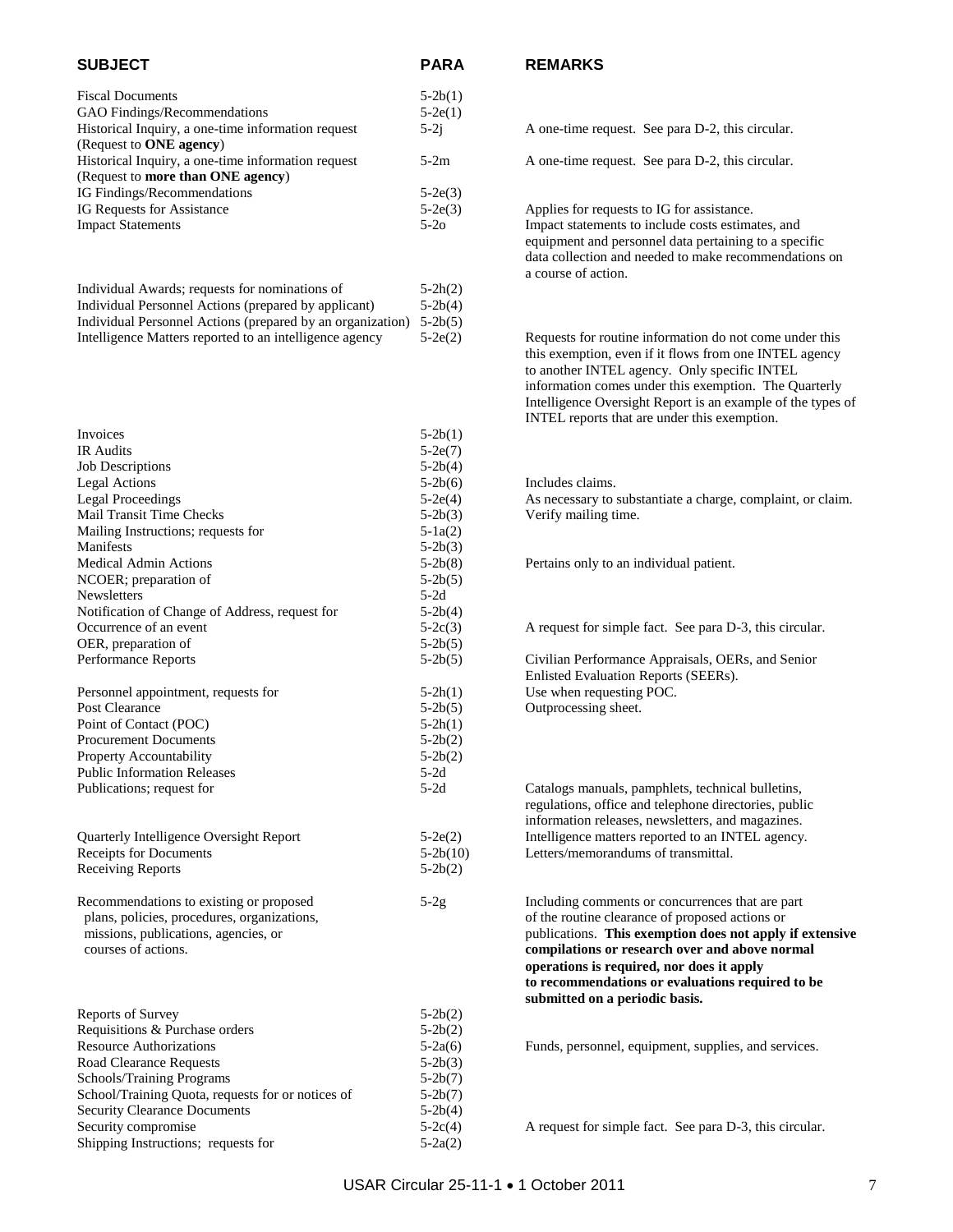| <b>SUBJECT</b>                                     | <b>PARA</b> | <b>REMARKS</b>                                    |
|----------------------------------------------------|-------------|---------------------------------------------------|
| <b>Fiscal Documents</b>                            | $5-2b(1)$   |                                                   |
| GAO Findings/Recommendations                       | $5-2e(1)$   |                                                   |
| Historical Inquiry, a one-time information request | $5-2i$      | A one-time request. See para D-2, this circular.  |
| (Request to <b>ONE</b> agency)                     |             |                                                   |
| Historical Inquiry, a one-time information request | $5-2m$      | A one-time request. See para D-2, this circular.  |
| (Request to more than ONE agency)                  |             |                                                   |
| IG Findings/Recommendations                        | $5-2e(3)$   |                                                   |
| IG Requests for Assistance                         | $5-2e(3)$   | Applies for requests to IG for assistance.        |
| <b>Impact Statements</b>                           | $5-2o$      | Impact statements to include costs estimates, and |

| Individual Awards; requests for nominations of                     | $5-2h(2)$ |
|--------------------------------------------------------------------|-----------|
| Individual Personnel Actions (prepared by applicant)               | $5-2b(4)$ |
| Individual Personnel Actions (prepared by an organization) 5-2b(5) |           |
| Intelligence Matters reported to an intelligence agency            | $5-2e(2)$ |

| Invoices                                                                                                                                                                                       | $5-2b(1)$                                      |
|------------------------------------------------------------------------------------------------------------------------------------------------------------------------------------------------|------------------------------------------------|
| IR Audits                                                                                                                                                                                      | $5-2e(7)$                                      |
| <b>Job Descriptions</b>                                                                                                                                                                        | $5-2b(4)$                                      |
| <b>Legal Actions</b>                                                                                                                                                                           | $5-2b(6)$                                      |
| <b>Legal Proceedings</b>                                                                                                                                                                       | $5-2e(4)$                                      |
| Mail Transit Time Checks                                                                                                                                                                       | $5-2b(3)$                                      |
| Mailing Instructions; requests for                                                                                                                                                             | $5 - 1a(2)$                                    |
| Manifests                                                                                                                                                                                      | $5-2b(3)$                                      |
| <b>Medical Admin Actions</b>                                                                                                                                                                   | $5 - 2b(8)$                                    |
| NCOER; preparation of                                                                                                                                                                          | $5-2b(5)$                                      |
| <b>Newsletters</b>                                                                                                                                                                             | $5-2d$                                         |
| Notification of Change of Address, request for                                                                                                                                                 | $5-2b(4)$                                      |
| Occurrence of an event                                                                                                                                                                         | $5-2c(3)$                                      |
| OER, preparation of                                                                                                                                                                            | $5-2b(5)$                                      |
| Performance Reports                                                                                                                                                                            | $5-2b(5)$                                      |
| Personnel appointment, requests for                                                                                                                                                            | $5-2h(1)$                                      |
| Post Clearance                                                                                                                                                                                 | $5-2b(5)$                                      |
| Point of Contact (POC)                                                                                                                                                                         | $5-2h(1)$                                      |
| <b>Procurement Documents</b>                                                                                                                                                                   | $5-2b(2)$                                      |
| Property Accountability                                                                                                                                                                        | $5-2b(2)$                                      |
| <b>Public Information Releases</b>                                                                                                                                                             | $5-2d$                                         |
| Publications; request for                                                                                                                                                                      | $5-2d$                                         |
| Quarterly Intelligence Oversight Report<br><b>Receipts for Documents</b><br><b>Receiving Reports</b><br>Recommendations to existing or proposed<br>plans, policies, procedures, organizations, | $5-2e(2)$<br>$5-2b(10)$<br>$5-2b(2)$<br>$5-2g$ |
| missions, publications, agencies, or<br>courses of actions.                                                                                                                                    |                                                |
| <b>Reports of Survey</b>                                                                                                                                                                       | $5-2b(2)$                                      |
| Requisitions & Purchase orders                                                                                                                                                                 | $5-2b(2)$                                      |
| <b>Resource Authorizations</b>                                                                                                                                                                 | $5-2a(6)$                                      |
| <b>Road Clearance Requests</b>                                                                                                                                                                 | $5-2b(3)$                                      |
| Schools/Training Programs                                                                                                                                                                      | $5-2b(7)$                                      |
| School/Training Quota, requests for or notices of                                                                                                                                              | $5-2b(7)$                                      |
| <b>Security Clearance Documents</b>                                                                                                                                                            | $5-2b(4)$                                      |
| Security compromise                                                                                                                                                                            | $5-2c(4)$                                      |
| Shipping Instructions; requests for                                                                                                                                                            | $5-2a(2)$                                      |

#### **SUBJECT PARA REMARKS**

I) Applies for requests to IG for assistance. equipment and personnel data pertaining to a specific data collection and needed to make recommendations on a course of action.

> Requests for routine information do not come under this this exemption, even if it flows from one INTEL agency to another INTEL agency. Only specific INTEL information comes under this exemption. The Quarterly Intelligence Oversight Report is an example of the types of INTEL reports that are under this exemption.

(i) Includes claims. ) As necessary to substantiate a charge, complaint, or claim. () Verify mailing time.

(a) Pertains only to an individual patient.

(b) A request for simple fact. See para D-3, this circular.

(b) Civilian Performance Appraisals, OERs, and Senior Enlisted Evaluation Reports (SEERs). ) Use when requesting POC. ) Outprocessing sheet.

Catalogs manuals, pamphlets, technical bulletins, regulations, office and telephone directories, public information releases, newsletters, and magazines. ) Intelligence matters reported to an INTEL agency. 0) Letters/memorandums of transmittal.

> Including comments or concurrences that are part of the routine clearance of proposed actions or publications. This exemption does not apply if extensive compilations or research over and above normal **operations is required, nor does it apply to recommendations or evaluations required to be submitted on a periodic basis.**

 $Funds,$  personnel, equipment, supplies, and services.

A request for simple fact. See para D-3, this circular.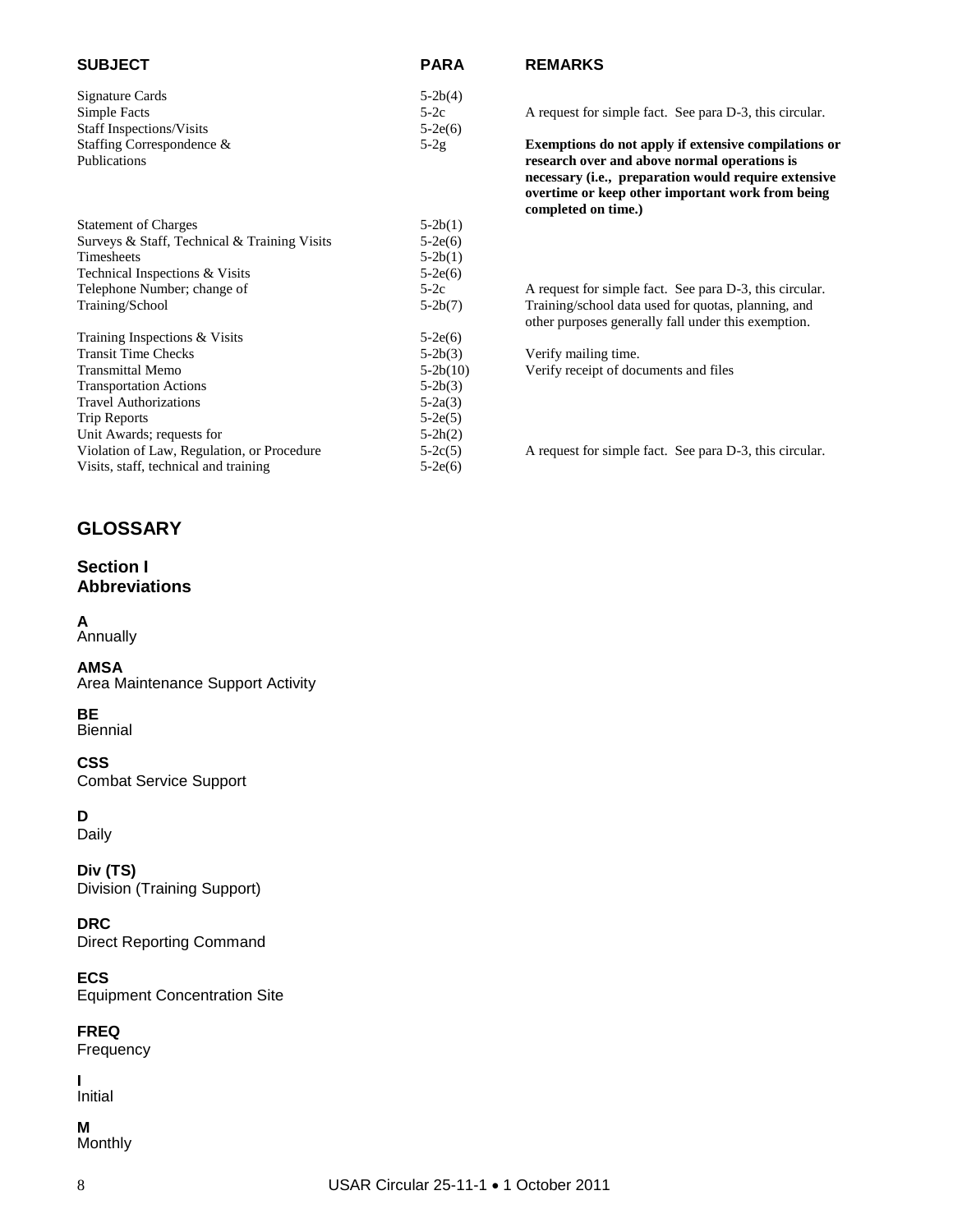| <b>SUBJECT</b>                               | <b>PARA</b>  |
|----------------------------------------------|--------------|
| Signature Cards                              | $5-2b(4)$    |
| Simple Facts                                 | $5-2c$       |
| <b>Staff Inspections/Visits</b>              | $5-2e(6)$    |
| Staffing Correspondence &                    | $5-2g$       |
| Publications                                 |              |
| <b>Statement of Charges</b>                  | $5-2b(1)$    |
| Surveys & Staff, Technical & Training Visits | $5-2e(6)$    |
| Timoshoots                                   | $5.20$ $(1)$ |

| <b>Statement of Charges</b>                  | $5-2b(1)$  |                                                         |
|----------------------------------------------|------------|---------------------------------------------------------|
| Surveys & Staff, Technical & Training Visits | $5-2e(6)$  |                                                         |
| <b>Timesheets</b>                            | $5-2b(1)$  |                                                         |
| Technical Inspections & Visits               | $5-2e(6)$  |                                                         |
| Telephone Number; change of                  | $5-2c$     | A request for simple fact. See para D-3, this circular. |
| Training/School                              | $5-2b(7)$  | Training/school data used for quotas, planning, and     |
|                                              |            | other purposes generally fall under this exemption.     |
| Training Inspections & Visits                | $5-2e(6)$  |                                                         |
| <b>Transit Time Checks</b>                   | $5-2b(3)$  | Verify mailing time.                                    |
| <b>Transmittal Memo</b>                      | $5-2b(10)$ | Verify receipt of documents and files                   |
| <b>Transportation Actions</b>                | $5-2b(3)$  |                                                         |
| <b>Travel Authorizations</b>                 | $5-2a(3)$  |                                                         |
| Trip Reports                                 | $5-2e(5)$  |                                                         |
| Unit Awards; requests for                    | $5-2h(2)$  |                                                         |
| Violation of Law, Regulation, or Procedure   | $5-2c(5)$  | A request for simple fact. See para D-3, this circular. |

Visits, staff, technical and training 5-2e(6)

#### **REMARKS**

A request for simple fact. See para D-3, this circular.

Exemptions do not apply if extensive compilations or research over and above normal operations is **necessary (i.e., preparation would require extensive overtime or keep other important work from being completed on time.)**

#### **GLOSSARY**

#### **Section I Abbreviations**

#### **A**

Annually

#### **AMSA** Area Maintenance Support Activity

#### **BE**

Biennial

#### **CSS** Combat Service Support

**D** Daily

**Div (TS)** Division (Training Support)

**DRC** Direct Reporting Command

**ECS** Equipment Concentration Site

**FREQ** Frequency

**I** Initial

**M** Monthly